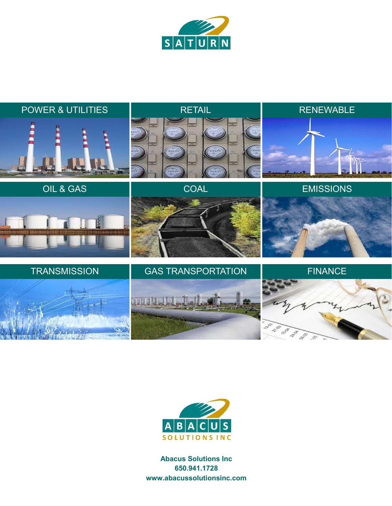





**Abacus Solutions Inc 650.941.1728 www.abacussolutionsinc.com**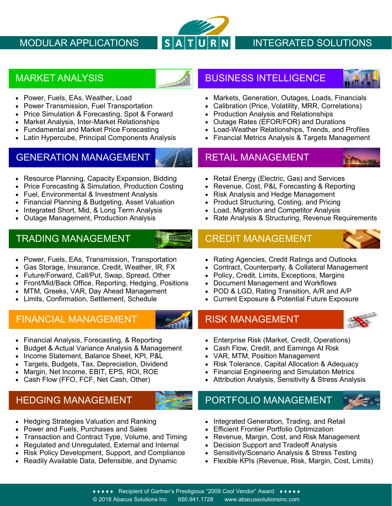

# MODULAR APPLICATIONS  $\begin{array}{|c|c|c|c|c|}\hline \textbf{S} & \textbf{A} & \textbf{T} & \textbf{U} & \textbf{NTEGRATED SOLUTIONS} \hline \end{array}$

- Power, Fuels, EAs, Weather, Load
- Power Transmission, Fuel Transportation
- Price Simulation & Forecasting, Spot & Forward
- Market Analysis, Inter-Market Relationships
- Fundamental and Market Price Forecasting
- **Latin Hypercube, Principal Components Analysis**

## GENERATION MANAGEMENT WARE RETAIL MANAGEMENT

- Resource Planning, Capacity Expansion, Bidding
- Price Forecasting & Simulation, Production Costing
- Fuel, Environmental & Investment Analysis
- Financial Planning & Budgeting, Asset Valuation
- Integrated Short, Mid, & Long Term Analysis
- Outage Management, Production Analysis

## TRADING MANAGEMENT CREDIT MANAGEMENT

- Power, Fuels, EAs, Transmission, Transportation
- Gas Storage, Insurance, Credit, Weather, IR, FX
- Future/Forward, Call/Put, Swap, Spread, Other
- Front/Mid/Back Office, Reporting, Hedging, Positions
- MTM, Greeks, VAR, Day Ahead Management
- Limits, Confirmation, Settlement, Schedule

## FINANCIAL MANAGEMENT **RISK MANAGEMENT**



- Financial Analysis, Forecasting, & Reporting
- Budget & Actual Variance Analysis & Management
- Income Statement, Balance Sheet, KPI, P&L
- Targets, Budgets, Tax, Depreciation, Dividend
- Margin, Net Income, EBIT, EPS, ROI, ROE
- Cash Flow (FFO, FCF, Net Cash, Other)

- Hedging Strategies Valuation and Ranking
- Power and Fuels, Purchases and Sales
- Transaction and Contract Type, Volume, and Timing
- Regulated and Unregulated, External and Internal
- Risk Policy Development, Support, and Compliance
- Readily Available Data, Defensible, and Dynamic

# MARKET ANALYSIS AND LOCAL THE BUSINESS INTELLIGENCE



- Markets, Generation, Outages, Loads, Financials
- Calibration (Price, Volatility, MRR, Correlations)
- Production Analysis and Relationships
- Outage Rates (EFOR/FOR) and Durations
- Load-Weather Relationships, Trends, and Profiles
- Financial Metrics Analysis & Targets Management

- 
- Retail Energy (Electric, Gas) and Services
- Revenue, Cost, P&L Forecasting & Reporting
- Risk Analysis and Hedge Management
- Product Structuring, Costing, and Pricing
- Load, Migration and Competitor Analysis
- Rate Analysis & Structuring, Revenue Requirements



- Rating Agencies, Credit Ratings and Outlooks
- Contract, Counterparty, & Collateral Management
- Policy, Credit, Limits, Exceptions, Margins
- Document Management and Workflows
- POD & LGD, Rating Transition, A/R and A/P
- Current Exposure & Potential Future Exposure



- Enterprise Risk (Market, Credit, Operations)
- Cash Flow, Credit, and Earnings At Risk
- VAR, MTM, Position Management
- Risk Tolerance, Capital Allocation & Adequacy
- Financial Engineering and Simulation Metrics
- Attribution Analysis, Sensitivity & Stress Analysis
- HEDGING MANAGEMENT **AN AGE AND PORTFOLIO MANAGEMENT** 
	- Integrated Generation, Trading, and Retail
	- **Efficient Frontier Portfolio Optimization**
	- Revenue, Margin, Cost, and Risk Management
	- Decision Support and Tradeoff Analysis
	- Sensitivity/Scenario Analysis & Stress Testing
	- Flexible KPIs (Revenue, Risk, Margin, Cost, Limits)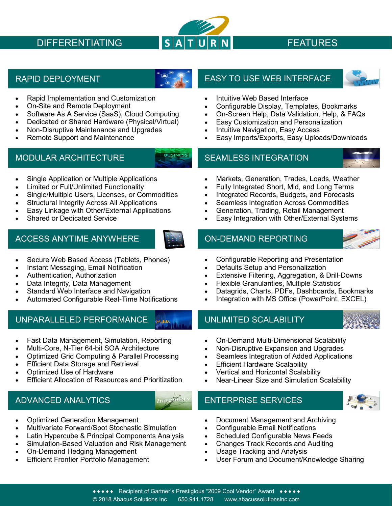

## • Rapid Implementation and Customization

- On-Site and Remote Deployment
- Software As A Service (SaaS), Cloud Computing
- Dedicated or Shared Hardware (Physical/Virtual)
- Non-Disruptive Maintenance and Upgrades
- Remote Support and Maintenance

## MODULAR ARCHITECTURE **SEAMLESS INTEGRATION**

- Single Application or Multiple Applications
- Limited or Full/Unlimited Functionality
- Single/Multiple Users, Licenses, or Commodities
- Structural Integrity Across All Applications
- Easy Linkage with Other/External Applications
- Shared or Dedicated Service

## ACCESS ANYTIME ANYWHERE **ALL SEEMING CON-DEMAND REPORTING**



- Secure Web Based Access (Tablets, Phones)
- Instant Messaging, Email Notification
- Authentication, Authorization
- Data Integrity, Data Management
- Standard Web Interface and Navigation
- Automated Configurable Real-Time Notifications

## UNPARALLELED PERFORMANCE WWW. UNLIMITED SCALABILITY

- Fast Data Management, Simulation, Reporting
- Multi-Core, N-Tier 64-bit SOA Architecture
- Optimized Grid Computing & Parallel Processing
- **Efficient Data Storage and Retrieval**
- Optimized Use of Hardware
- Efficient Allocation of Resources and Prioritization

- Optimized Generation Management
- Multivariate Forward/Spot Stochastic Simulation
- Latin Hypercube & Principal Components Analysis
- Simulation-Based Valuation and Risk Management
- On-Demand Hedging Management
- **Efficient Frontier Portfolio Management**

## RAPID DEPLOYMENT EASY TO USE WEB INTERFACE



- Intuitive Web Based Interface
- Configurable Display, Templates, Bookmarks
- On-Screen Help, Data Validation, Help, & FAQs
- Easy Customization and Personalization
- Intuitive Navigation, Easy Access
- Easy Imports/Exports, Easy Uploads/Downloads

- Markets, Generation, Trades, Loads, Weather
- Fully Integrated Short, Mid, and Long Terms
- Integrated Records, Budgets, and Forecasts
- Seamless Integration Across Commodities
- Generation, Trading, Retail Management
- Easy Integration with Other/External Systems



- Configurable Reporting and Presentation
- Defaults Setup and Personalization
- Extensive Filtering, Aggregation, & Drill-Downs
- Flexible Granularities, Multiple Statistics
- Datagrids, Charts, PDFs, Dashboards, Bookmarks
- Integration with MS Office (PowerPoint, EXCEL)



- On-Demand Multi-Dimensional Scalability
- Non-Disruptive Expansion and Upgrades
- Seamless Integration of Added Applications
- **Efficient Hardware Scalability**
- Vertical and Horizontal Scalability
- Near-Linear Size and Simulation Scalability

# ADVANCED ANALYTICS AND THE ENTERPRISE SERVICES



- Document Management and Archiving
- Configurable Email Notifications
- Scheduled Configurable News Feeds
- Changes Track Records and Auditing
- Usage Tracking and Analysis
- User Forum and Document/Knowledge Sharing